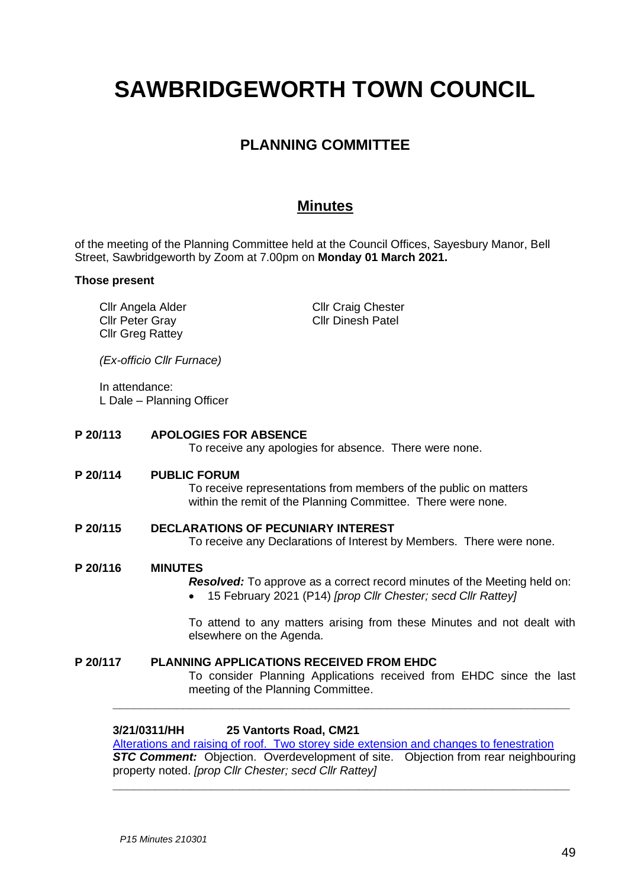# **SAWBRIDGEWORTH TOWN COUNCIL**

# **PLANNING COMMITTEE**

# **Minutes**

of the meeting of the Planning Committee held at the Council Offices, Sayesbury Manor, Bell Street, Sawbridgeworth by Zoom at 7.00pm on **Monday 01 March 2021.**

#### **Those present**

Cllr Angela Alder Cllr Peter Gray Cllr Greg Rattey

Cllr Craig Chester Cllr Dinesh Patel

*(Ex-officio Cllr Furnace)*

In attendance: L Dale – Planning Officer

# **P 20/113 APOLOGIES FOR ABSENCE** To receive any apologies for absence. There were none. **P 20/114 PUBLIC FORUM** To receive representations from members of the public on matters within the remit of the Planning Committee. There were none. **P 20/115 DECLARATIONS OF PECUNIARY INTEREST**

To receive any Declarations of Interest by Members. There were none.

#### **P 20/116 MINUTES**

*Resolved:* To approve as a correct record minutes of the Meeting held on:

• 15 February 2021 (P14) *[prop Cllr Chester; secd Cllr Rattey]*

To attend to any matters arising from these Minutes and not dealt with elsewhere on the Agenda.

## **P 20/117 PLANNING APPLICATIONS RECEIVED FROM EHDC**

To consider Planning Applications received from EHDC since the last meeting of the Planning Committee.

#### **3/21/0311/HH 25 Vantorts Road, CM21**

[Alterations and raising of roof. Two storey side extension and changes to fenestration](https://publicaccess.eastherts.gov.uk/online-applications/applicationDetails.do?activeTab=documents&keyVal=QO7IG6GL04O00)

**\_\_\_\_\_\_\_\_\_\_\_\_\_\_\_\_\_\_\_\_\_\_\_\_\_\_\_\_\_\_\_\_\_\_\_\_\_\_\_\_\_\_\_\_\_\_\_\_\_\_\_\_\_\_\_\_\_\_\_\_\_\_\_\_\_**

**STC Comment:** Objection. Overdevelopment of site. Objection from rear neighbouring property noted. *[prop Cllr Chester; secd Cllr Rattey]*

**\_\_\_\_\_\_\_\_\_\_\_\_\_\_\_\_\_\_\_\_\_\_\_\_\_\_\_\_\_\_\_\_\_\_\_\_\_\_\_\_\_\_\_\_\_\_\_\_\_\_\_\_\_\_\_\_\_\_\_\_\_\_\_\_\_**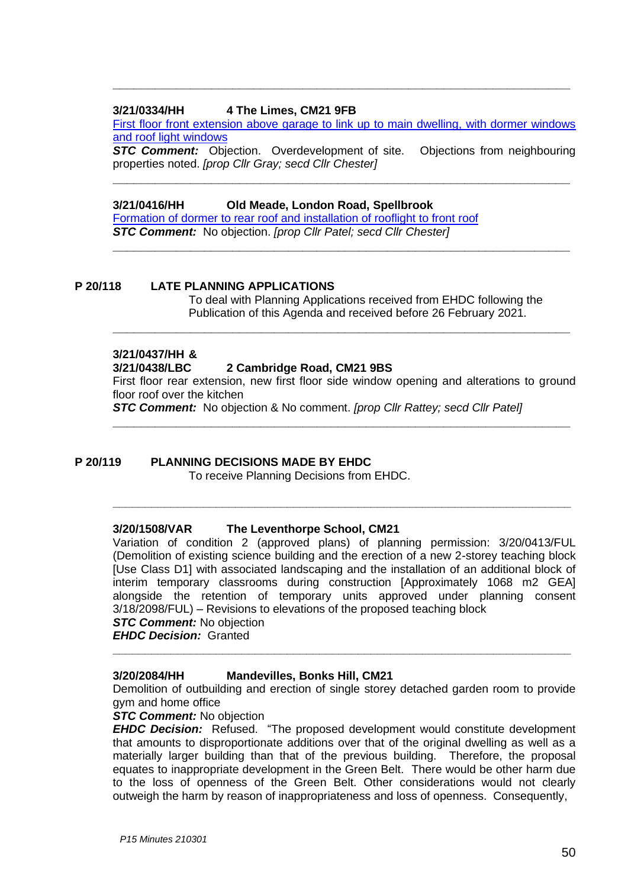## **3/21/0334/HH 4 The Limes, CM21 9FB**

[First floor front extension above garage to link up to main dwelling,](https://publicaccess.eastherts.gov.uk/online-applications/applicationDetails.do?activeTab=documents&keyVal=QO9R8QGLKV100) with dormer windows [and roof light windows](https://publicaccess.eastherts.gov.uk/online-applications/applicationDetails.do?activeTab=documents&keyVal=QO9R8QGLKV100)

**\_\_\_\_\_\_\_\_\_\_\_\_\_\_\_\_\_\_\_\_\_\_\_\_\_\_\_\_\_\_\_\_\_\_\_\_\_\_\_\_\_\_\_\_\_\_\_\_\_\_\_\_\_\_\_\_\_\_\_\_\_\_\_\_\_**

**STC Comment:** Objection. Overdevelopment of site. Objections from neighbouring properties noted. *[prop Cllr Gray; secd Cllr Chester]*

**\_\_\_\_\_\_\_\_\_\_\_\_\_\_\_\_\_\_\_\_\_\_\_\_\_\_\_\_\_\_\_\_\_\_\_\_\_\_\_\_\_\_\_\_\_\_\_\_\_\_\_\_\_\_\_\_\_\_\_\_\_\_\_\_\_**

**\_\_\_\_\_\_\_\_\_\_\_\_\_\_\_\_\_\_\_\_\_\_\_\_\_\_\_\_\_\_\_\_\_\_\_\_\_\_\_\_\_\_\_\_\_\_\_\_\_\_\_\_\_\_\_\_\_\_\_\_\_\_\_\_\_**

# **3/21/0416/HH Old Meade, London Road, Spellbrook**

[Formation of dormer to rear roof and installation of rooflight to front roof](https://publicaccess.eastherts.gov.uk/online-applications/applicationDetails.do?activeTab=documents&keyVal=QOO9F1GLL0J00) *STC Comment:* No objection. *[prop Cllr Patel; secd Cllr Chester]*

#### **P 20/118 LATE PLANNING APPLICATIONS**

To deal with Planning Applications received from EHDC following the Publication of this Agenda and received before 26 February 2021.

## **3/21/0437/HH &**

#### **3/21/0438/LBC 2 Cambridge Road, CM21 9BS**

First floor rear extension, new first floor side window opening and alterations to ground floor roof over the kitchen

**\_\_\_\_\_\_\_\_\_\_\_\_\_\_\_\_\_\_\_\_\_\_\_\_\_\_\_\_\_\_\_\_\_\_\_\_\_\_\_\_\_\_\_\_\_\_\_\_\_\_\_\_\_\_\_\_\_\_\_\_\_\_\_\_\_**

**\_\_\_\_\_\_\_\_\_\_\_\_\_\_\_\_\_\_\_\_\_\_\_\_\_\_\_\_\_\_\_\_\_\_\_\_\_\_\_\_\_\_\_\_\_\_\_\_\_\_\_\_\_\_\_\_\_\_\_\_\_\_\_\_\_\_\_\_\_\_\_**

**\_\_\_\_\_\_\_\_\_\_\_\_\_\_\_\_\_\_\_\_\_\_\_\_\_\_\_\_\_\_\_\_\_\_\_\_\_\_\_\_\_\_\_\_\_\_\_\_\_\_\_\_\_\_\_\_\_\_\_\_\_\_\_\_\_**

*STC Comment:* No objection & No comment. *[prop Cllr Rattey; secd Cllr Patel]*

#### **P 20/119 PLANNING DECISIONS MADE BY EHDC**

To receive Planning Decisions from EHDC.

#### **3/20/1508/VAR The Leventhorpe School, CM21**

Variation of condition 2 (approved plans) of planning permission: 3/20/0413/FUL (Demolition of existing science building and the erection of a new 2-storey teaching block [Use Class D1] with associated landscaping and the installation of an additional block of interim temporary classrooms during construction [Approximately 1068 m2 GEA] alongside the retention of temporary units approved under planning consent 3/18/2098/FUL) – Revisions to elevations of the proposed teaching block

#### *STC Comment:* No objection

*EHDC Decision:* Granted

#### **3/20/2084/HH Mandevilles, Bonks Hill, CM21**

Demolition of outbuilding and erection of single storey detached garden room to provide gym and home office

**\_\_\_\_\_\_\_\_\_\_\_\_\_\_\_\_\_\_\_\_\_\_\_\_\_\_\_\_\_\_\_\_\_\_\_\_\_\_\_\_\_\_\_\_\_\_\_\_\_\_\_\_\_\_\_\_\_\_\_\_\_\_\_\_\_\_\_\_\_\_\_**

#### *STC Comment:* No objection

*EHDC Decision:* Refused. "The proposed development would constitute development that amounts to disproportionate additions over that of the original dwelling as well as a materially larger building than that of the previous building. Therefore, the proposal equates to inappropriate development in the Green Belt. There would be other harm due to the loss of openness of the Green Belt. Other considerations would not clearly outweigh the harm by reason of inappropriateness and loss of openness. Consequently,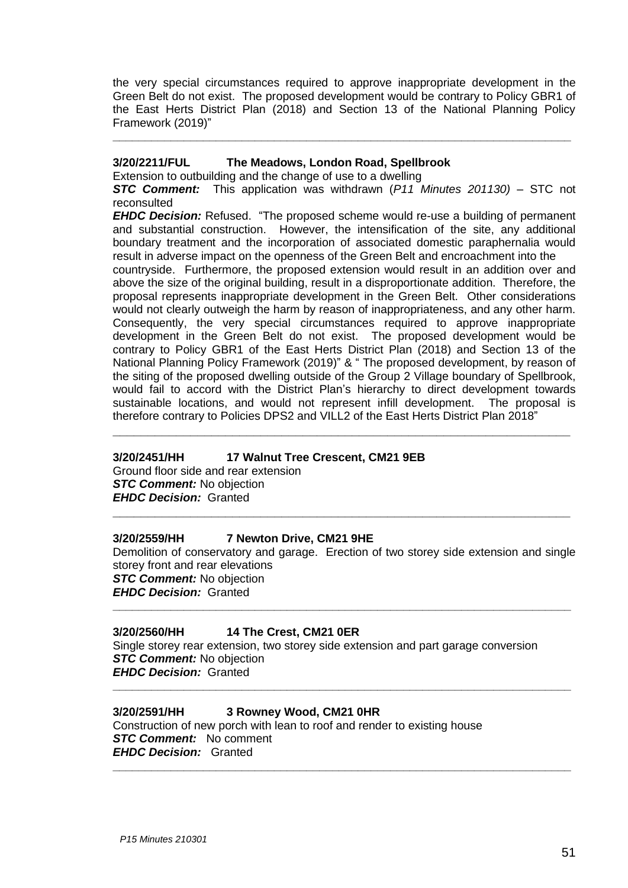the very special circumstances required to approve inappropriate development in the Green Belt do not exist. The proposed development would be contrary to Policy GBR1 of the East Herts District Plan (2018) and Section 13 of the National Planning Policy Framework (2019)"

**\_\_\_\_\_\_\_\_\_\_\_\_\_\_\_\_\_\_\_\_\_\_\_\_\_\_\_\_\_\_\_\_\_\_\_\_\_\_\_\_\_\_\_\_\_\_\_\_\_\_\_\_\_\_\_\_\_\_\_\_\_\_\_\_\_\_\_\_\_\_\_**

#### **3/20/2211/FUL The Meadows, London Road, Spellbrook**

Extension to outbuilding and the change of use to a dwelling

*STC Comment:* This application was withdrawn (*P11 Minutes 201130)* – STC not reconsulted

*EHDC Decision:* Refused. "The proposed scheme would re-use a building of permanent and substantial construction. However, the intensification of the site, any additional boundary treatment and the incorporation of associated domestic paraphernalia would result in adverse impact on the openness of the Green Belt and encroachment into the

countryside. Furthermore, the proposed extension would result in an addition over and above the size of the original building, result in a disproportionate addition. Therefore, the proposal represents inappropriate development in the Green Belt. Other considerations would not clearly outweigh the harm by reason of inappropriateness, and any other harm. Consequently, the very special circumstances required to approve inappropriate development in the Green Belt do not exist. The proposed development would be contrary to Policy GBR1 of the East Herts District Plan (2018) and Section 13 of the National Planning Policy Framework (2019)" & " The proposed development, by reason of the siting of the proposed dwelling outside of the Group 2 Village boundary of Spellbrook, would fail to accord with the District Plan's hierarchy to direct development towards sustainable locations, and would not represent infill development. The proposal is therefore contrary to Policies DPS2 and VILL2 of the East Herts District Plan 2018"

**\_\_\_\_\_\_\_\_\_\_\_\_\_\_\_\_\_\_\_\_\_\_\_\_\_\_\_\_\_\_\_\_\_\_\_\_\_\_\_\_\_\_\_\_\_\_\_\_\_\_\_\_\_\_\_\_\_\_\_\_\_\_\_\_\_**

#### **3/20/2451/HH 17 Walnut Tree Crescent, CM21 9EB**

Ground floor side and rear extension *STC Comment:* No objection *EHDC Decision:* Granted

#### **3/20/2559/HH 7 Newton Drive, CM21 9HE**

Demolition of conservatory and garage. Erection of two storey side extension and single storey front and rear elevations *STC Comment:* No objection *EHDC Decision:* Granted **\_\_\_\_\_\_\_\_\_\_\_\_\_\_\_\_\_\_\_\_\_\_\_\_\_\_\_\_\_\_\_\_\_\_\_\_\_\_\_\_\_\_\_\_\_\_\_\_\_\_\_\_\_\_\_\_\_\_\_\_\_\_\_\_\_\_\_\_\_\_\_**

**\_\_\_\_\_\_\_\_\_\_\_\_\_\_\_\_\_\_\_\_\_\_\_\_\_\_\_\_\_\_\_\_\_\_\_\_\_\_\_\_\_\_\_\_\_\_\_\_\_\_\_\_\_\_\_\_\_\_\_\_\_\_\_\_\_**

#### **3/20/2560/HH 14 The Crest, CM21 0ER**

Single storey rear extension, two storey side extension and part garage conversion *STC Comment:* No objection *EHDC Decision:* Granted

**\_\_\_\_\_\_\_\_\_\_\_\_\_\_\_\_\_\_\_\_\_\_\_\_\_\_\_\_\_\_\_\_\_\_\_\_\_\_\_\_\_\_\_\_\_\_\_\_\_\_\_\_\_\_\_\_\_\_\_\_\_\_\_\_\_\_\_\_\_\_\_**

**\_\_\_\_\_\_\_\_\_\_\_\_\_\_\_\_\_\_\_\_\_\_\_\_\_\_\_\_\_\_\_\_\_\_\_\_\_\_\_\_\_\_\_\_\_\_\_\_\_\_\_\_\_\_\_\_\_\_\_\_\_\_\_\_\_\_\_\_\_\_\_**

#### **3/20/2591/HH 3 Rowney Wood, CM21 0HR**

Construction of new porch with lean to roof and render to existing house *STC Comment:* No comment *EHDC Decision:* Granted